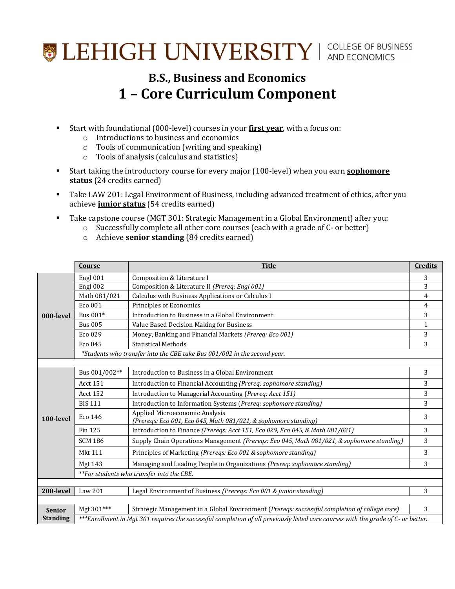## **SEHIGH UNIVERSITY** | COLLEGE OF BUSINESS

## **B.S., Business and Economics 1 – Core Curriculum Component**

- Start with foundational (000-level) courses in your **first year**, with a focus on:
	- o Introductions to business and economics
	- o Tools of communication (writing and speaking)
	- o Tools of analysis (calculus and statistics)
- Start taking the introductory course for every major (100-level) when you earn **sophomore status** (24 credits earned)
- **Take LAW 201: Legal Environment of Business, including advanced treatment of ethics, after you** achieve **junior status** (54 credits earned)
- Take capstone course (MGT 301: Strategic Management in a Global Environment) after you:
	- o Successfully complete all other core courses (each with a grade of C- or better)
	- o Achieve **senior standing** (84 credits earned)

|                 | <b>Course</b>                                                                                                                     | <b>Title</b>                                                                                      | <b>Credits</b> |
|-----------------|-----------------------------------------------------------------------------------------------------------------------------------|---------------------------------------------------------------------------------------------------|----------------|
| 000-level       | Engl 001                                                                                                                          | Composition & Literature I                                                                        | 3              |
|                 | Engl 002                                                                                                                          | Composition & Literature II (Prereq: Engl 001)                                                    | 3              |
|                 | Math 081/021                                                                                                                      | Calculus with Business Applications or Calculus I                                                 | $\overline{4}$ |
|                 | Eco 001                                                                                                                           | Principles of Economics                                                                           | 4              |
|                 | Bus 001*                                                                                                                          | Introduction to Business in a Global Environment                                                  | 3              |
|                 | <b>Bus 005</b>                                                                                                                    | Value Based Decision Making for Business                                                          | $\mathbf{1}$   |
|                 | Eco 029                                                                                                                           | Money, Banking and Financial Markets (Prereq: Eco 001)                                            | 3              |
|                 | Eco 045                                                                                                                           | <b>Statistical Methods</b>                                                                        | 3              |
|                 | *Students who transfer into the CBE take Bus 001/002 in the second year.                                                          |                                                                                                   |                |
|                 |                                                                                                                                   |                                                                                                   |                |
| 100-level       | Bus 001/002**                                                                                                                     | Introduction to Business in a Global Environment                                                  | 3              |
|                 | <b>Acct 151</b>                                                                                                                   | Introduction to Financial Accounting (Prereq: sophomore standing)                                 | 3              |
|                 | <b>Acct 152</b>                                                                                                                   | Introduction to Managerial Accounting (Prereq: Acct 151)                                          | 3              |
|                 | <b>BIS 111</b>                                                                                                                    | Introduction to Information Systems (Prereq: sophomore standing)                                  | 3              |
|                 | Eco 146                                                                                                                           | Applied Microeconomic Analysis<br>(Prereqs: Eco 001, Eco 045, Math 081/021, & sophomore standing) | 3              |
|                 | Fin 125                                                                                                                           | Introduction to Finance (Prereqs: Acct 151, Eco 029, Eco 045, & Math 081/021)                     | 3              |
|                 | <b>SCM 186</b>                                                                                                                    | Supply Chain Operations Management (Prereqs: Eco 045, Math 081/021, & sophomore standing)         | 3              |
|                 | <b>Mkt 111</b>                                                                                                                    | Principles of Marketing (Prereqs: Eco 001 & sophomore standing)                                   | 3              |
|                 | Mgt 143                                                                                                                           | Managing and Leading People in Organizations (Prereq: sophomore standing)                         | 3              |
|                 | **For students who transfer into the CBE.                                                                                         |                                                                                                   |                |
|                 |                                                                                                                                   |                                                                                                   |                |
| 200-level       | Law 201                                                                                                                           | Legal Environment of Business (Prereqs: Eco 001 & junior standing)                                | 3              |
|                 |                                                                                                                                   |                                                                                                   |                |
| <b>Senior</b>   | Mgt 301***                                                                                                                        | Strategic Management in a Global Environment (Prereqs: successful completion of college core)     | 3              |
| <b>Standing</b> | ***Enrollment in Mgt 301 requires the successful completion of all previously listed core courses with the grade of C- or better. |                                                                                                   |                |